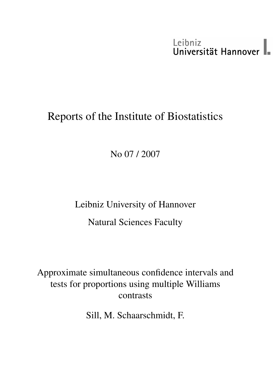# Leibniz<br>Universität Hannover

# Reports of the Institute of Biostatistics

No 07 / 2007

Leibniz University of Hannover Natural Sciences Faculty

Approximate simultaneous confidence intervals and tests for proportions using multiple Williams contrasts

Sill, M. Schaarschmidt, F.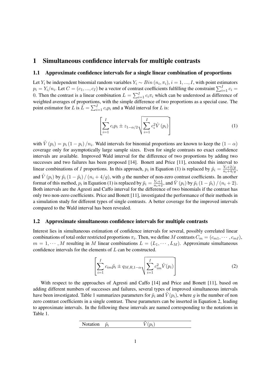### 1 Simultaneous confidence intervals for multiple contrasts

#### 1.1 Approximate confidence intervals for a single linear combination of proportions

Let Y<sub>i</sub> be independent binomial random variables  $Y_i \sim Bin(n_i, \pi_i)$ ,  $i = 1, ..., I$ , with point estimators  $p_i = Y_i/n_i$ . Let  $C = (c_1, ..., c_I)$  be a vector of contrast coefficients fulfilling the constraint  $\sum_{i=1}^{I} c_i =$ 0. Then the contrast is a linear combination  $L = \sum_{i=1}^{I} c_i \pi_i$  which can be understood as difference of weighted averages of proportions, with the simple difference of two proportions as a special case. The point estimator for L is  $\hat{L} = \sum_{i=1}^{I} c_i p_i$  and a Wald interval for L is:

$$
\left[\sum_{i=1}^{I} c_i p_i \pm z_{1-\alpha/2} \sqrt{\sum_{i=1}^{I} c_i^2 \hat{V}(p_i)}\right]
$$
 (1)

with  $\hat{V}(p_i) = p_i (1 - p_i) / n_i$ . Wald intervals for binomial proportions are known to keep the  $(1 - \alpha)$ coverage only for asymptotically large sample sizes. Even for single contrasts no exact confidence intervals are available. Improved Wald interval for the difference of two proportions by adding two successes and two failures has been proposed [14]. Bonett and Price [11], extended this interval to linear combinations of I proportions. In this approach,  $p_i$  in Equation (1) is replaced by  $\tilde{p}_i = \frac{Y_i + 2/g}{n_i + 4/g}$ , and  $\hat{V}(p_i)$  by  $\tilde{p}_i (1 - \tilde{p}_i) / (n_i + 4/g)$ , with g the number of non-zero contrast coefficients. In another format of this method,  $p_i$  in Equation (1) is replaced by  $\tilde{p}_i = \frac{Y_i+1}{n_i+2}$ , and  $\hat{V}(p_i)$  by  $\tilde{p}_i (1-\tilde{p}_i) / (n_i+2)$ . Both intervals are the Agresti and Caffo interval for the difference of two binomials if the contrast has only two non-zero coefficients. Price and Bonett [11], investigated the performance of their methods in a simulation study for different types of single contrasts. A better coverage for the improved intervals compared to the Wald interval has been revealed.

#### 1.2 Approximate simultaneous confidence intervals for multiple contrasts

Interest lies in simultaneous estimation of confidence intervals for several, possibly correlated linear combinations of total order restricted proportions  $\pi_i$ . Then, we define M contrasts  $C_m = (c_{m1}, \dots, c_{mI})$ ,  $m = 1, \dots, M$  resulting in M linear combinations  $L = (L_1, \dots, L_M)$ . Approximate simultaneous confidence intervals for the elements of L can be constructed.

$$
\left[\sum_{i=1}^{I} c_{im} \tilde{p}_i \pm q_{M,R,1-\alpha} \sqrt{\sum_{i=1}^{I} c_{im}^2 \tilde{V}(p_i)}\right]
$$
\n(2)

With respect to the approaches of Agresti and Caffo [14] and Price and Bonett [11], based on adding different numbers of successes and failures, several types of improved simultaneous intervals have been investigated. Table 1 summarizes parameters for  $\tilde{p}_i$  and  $V(p_i)$ , where g is the number of non zero contrast coefficients in a single contrast. These parameters can be inserted in Equation 2, leading to approximate intervals. In the following these intervals are named corresponding to the notations in Table 1.

$$
\begin{array}{ll}\n\text{Notation} & \tilde{p}_i & \tilde{V}(p_i)\n\end{array}
$$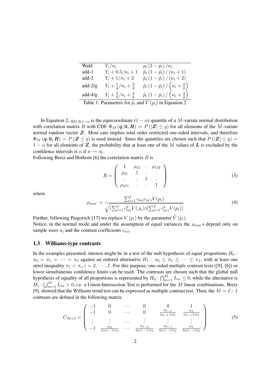| Wald      | $Y_i/n_i$                             | $p_i(1-p_i)/n_i$                                                     |
|-----------|---------------------------------------|----------------------------------------------------------------------|
| add-1     | $Y_i + 0.5/n_i + 1$                   | $\tilde{p}_i\left(1-\tilde{p}_i\right)/\left(n_i+1\right)$           |
| $add-2$   | $Y_i + 1/n_i + 2$                     | $\tilde{p}_i\left(1-\tilde{p}_i\right)/\left(n_i+2\right)$           |
| $add-2/g$ | $Y_i + \frac{1}{q}/n_i + \frac{2}{q}$ | $\tilde{p}_i\left(1-\tilde{p}_i\right)/\left(n_i+\frac{2}{g}\right)$ |
| $add-4/g$ | $Y_i + \frac{2}{q}/n_i + \frac{4}{q}$ | $\tilde{p}_i\left(1-\tilde{p}_i\right)/\left(n_i+\frac{4}{g}\right)$ |
|           |                                       | $\cdots$ $\cdots$                                                    |

Table 1: Parameters for  $\tilde{p}_i$  and  $\tilde{V}(p_i)$  in Equation 2

In Equation 2,  $q_{M,R,1-\alpha}$  is the equicoordinate  $(1 - \alpha)$  quantile of a M-variate normal distribution with correlation matrix R with CDF  $\Phi_M(q; 0, R) = P(|Z| \le q)$  for all elements of the M-variate normal random vector Z. Most care implies total order restricted one-sided intervals, and therefore  $\Phi_M(q; 0, R) = P(Z \le q)$  is used instead. Since the quantiles are chosen such that  $P(|Z| \le q)$  $1 - \alpha$  for all elements of Z, the probability that at least one of the M values of L is excluded by the confidence intervals is  $\alpha$  if  $n \to \infty$ .

Following Bretz and Hothorn [6] the correlation matrix  $R$  is

$$
R = \begin{pmatrix} 1 & \rho_{12} & \cdots & \rho_{1M} \\ \rho_{21} & 1 & \cdots & & \\ \vdots & \vdots & 1 & \vdots \\ \rho_{M1} & \cdots & & 1 \end{pmatrix}
$$
 (3)

where

$$
\rho_{mm'} = \frac{\sum_{i=1}^{I} c_{mi} c_{m'i} V(p_i)}{\sqrt{(\sum_{i=1}^{I} c_{mi}^2 V(p_i))(\sum_{i=1}^{I} c_{m'i}^2 V(p_i))}}
$$
(4)

Further, following Piegorsch [17] we replace  $V(p_i)$  by the parameter  $\tilde{V}(p_i)$ . Notice, in the normal mode and under the assumption of equal variances the  $\rho_{mm}$ 's depend only on sample sizes  $n_i$  and the contrast coefficients  $c_{mi}$ .

#### 1.3 Williams-type contrasts

In the examples presented, interest might be in a test of the null hypothesis of equal proportions  $H_0$ :  $\pi_0 = \pi_1 = \cdots = \pi_I$  against an ordered alternative  $H_1 : \pi_0 \leq \pi_1 \leq \cdots \leq \pi_I$ , with at least one strict inequality  $\pi_1 < \pi_i$ ,  $i = 2, \dots, I$ . For this purpose, one-sided multiple contrast tests ([9], [6]) or lower simultaneous confidence limits can be used. The contrasts are chosen such that the global null hypothesis of equality of all proportions is represented by  $H_0: \bigcap_{m=1}^M L_m \leq 0$ , while the alternative is  $H_1: \bigcup_{m=1}^M L_m > 0$ , i.e. a Union-Intersection Test is performed for the M linear combinations. Bretz [9], showed that the Williams trend test can be expressed as multiple contrast test. Then, the  $M = I - 1$ contrasts are defined in the following matrix:

$$
C_{M \times I} = \begin{pmatrix} -1 & 0 & \cdots & 0 & 0 & 1 \\ -1 & 0 & \cdots & 0 & \frac{n_{I-1}}{n_{I-1}+n_I} & \frac{n_I}{n_{I-1}+n_I} \\ \vdots & \vdots & \cdots & \vdots & \vdots & \vdots \\ -1 & \frac{n_2}{n_2+\cdots+n_I} & \cdots & \frac{n_{I-2}}{n_2+\cdots+n_I} & \frac{n_{I-1}}{n_2+\cdots+n_I} & \frac{n_I}{n_2+\cdots+n_I} \end{pmatrix}
$$
(5)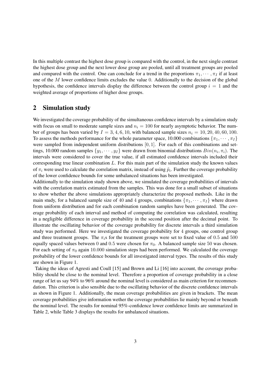In this multiple contrast the highest dose group is compared with the control, in the next single contrast the highest dose group and the next lower dose group are pooled, until all treatment groups are pooled and compared with the control. One can conclude for a trend in the proportions  $\pi_1, \dots, \pi_l$  if at least one of the  $M$  lower confidence limits excludes the value 0. Additionally to the decision of the global hypothesis, the confidence intervals display the difference between the control group  $i = 1$  and the weighted average of proportions of higher dose groups.

# 2 Simulation study

We investigated the coverage probability of the simultaneous confidence intervals by a simulation study with focus on small to moderate sample sizes and  $n_i = 100$  for nearly asymptotic behavior. The number of groups has been varied by  $I = 3, 4, 6, 10$ , with balanced sample sizes  $n_i = 10, 20, 40, 60, 100$ . To assess the methods performance for the whole parameter space, 10.000 combinations  $\{\pi_1, \dots, \pi_I\}$ were sampled from independent uniform distributions  $[0, 1]$ . For each of this combinations and settings, 10.000 random samples  $\{y_1, \dots, y_I\}$  were drawn from binomial distributions  $Bin(n_i, \pi_i)$ . The intervals were considered to cover the true value, if all estimated confidence intervals included their corresponding true linear combination  $L$ . For this main part of the simulation study the known values of  $\pi_i$  were used to calculate the correlation matrix, instead of using  $\tilde{p}_i$ . Further the coverage probability of the lower confidence bounds for some unbalanced situations has been investigated.

Additionally to the simulation study shown above, we simulated the coverage probabilities of intervals with the correlation matrix estimated from the samples. This was done for a small subset of situations to show whether the above simulations appropriately characterize the proposed methods. Like in the main study, for a balanced sample size of 40 and 4 groups, combinations  $\{\pi_1, \dots, \pi_I\}$  where drawn from uniform distribution and for each combination random samples have been generated. The coverage probability of each interval and method of computing the correlation was calculated, resulting in a negligible difference in coverage probability in the second position after the decimal point. To illustrate the oscillating behavior of the coverage probability for discrete intervals a third simulation study was performed. Here we investigated the coverage probability for 4 groups, one control group and three treatment groups. The  $\pi_i$ s for the treatment groups were set to fixed value of 0.5 and 500 equally spaced values between 0 and 0.5 were chosen for  $\pi_0$ . A balanced sample size 50 was chosen. For each setting of  $\pi_0$  again 10.000 simulation steps had been performed. We calculated the coverage probability of the lower confidence bounds for all investigated interval types. The results of this study are shown in Figure 1.

Taking the ideas of Agresti and Coull [15] and Brown and Li [16] into account, the coverage probability should be close to the nominal level. Therefore a proportion of coverage probability in a close range of let us say 94% to 96% around the nominal level is considered as main criterion for recommendation. This criterion is also sensible due to the oscillating behavior of the discrete confidence intervals as shown in Figure 1. Additionally, the mean coverage probabilities are given in brackets. The mean coverage probabilities give information wether the coverage probabilities lie mainly beyond or beneath the nominal level. The results for nominal 95%-confidence lower confidence limits are summarized in Table 2, while Table 3 displays the results for unbalanced situations.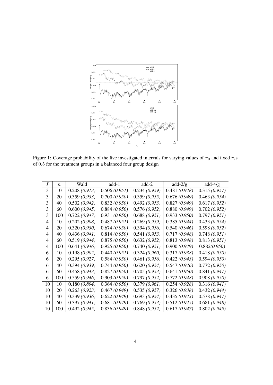

Figure 1: Coverage probability of the five investigated intervals for varying values of  $\pi_0$  and fixed  $\pi_i$ s of  $0.5$  for the treatment groups in a balanced four group design

| T  | $\boldsymbol{n}$ | Wald         | $add-1$      | $add-2$      | add- $2/g$   | add- $4/g$   |
|----|------------------|--------------|--------------|--------------|--------------|--------------|
| 3  | 10               | 0.208(0.913) | 0.506(0.951) | 0.234(0.959) | 0.481(0.948) | 0.315(0.957) |
| 3  | 20               | 0.359(0.933) | 0.700(0.950) | 0.359(0.955) | 0.676(0.949) | 0.463(0.954) |
| 3  | 40               | 0.502(0.942) | 0.832(0.950) | 0.492(0.953) | 0.827(0.949) | 0.617(0.952) |
| 3  | 60               | 0.600(0.945) | 0.884(0.950) | 0.576(0.952) | 0.880(0.949) | 0.702(0.952) |
| 3  | 100              | 0.722(0.947) | 0.931(0.950) | 0.688(0.951) | 0.933(0.950) | 0.797(0.951) |
| 4  | 10               | 0.202(0.908) | 0.487(0.951) | 0.269(0.959) | 0.385(0.944) | 0.433(0.954) |
| 4  | 20               | 0.320(0.930) | 0.674(0.950) | 0.394(0.956) | 0.540(0.946) | 0.598(0.952) |
| 4  | 40               | 0.436(0.941) | 0.814(0.950) | 0.541(0.953) | 0.717(0.948) | 0.748(0.951) |
| 4  | 60               | 0.519(0.944) | 0.875(0.950) | 0.632(0.952) | 0.813(0.948) | 0.813(0.951) |
| 4  | 100              | 0.641(0.946) | 0.925(0.950) | 0.740(0.951) | 0.900(0.949) | 0.882(0.950) |
| 6  | 10               | 0.198(0.902) | 0.440(0.951) | 0.324(0.960) | 0.317(0.938) | 0.418(0.950) |
| 6  | 20               | 0.295(0.927) | 0.584(0.950) | 0.461(0.956) | 0.422(0.943) | 0.594(0.950) |
| 6  | 40               | 0.394(0.939) | 0.744(0.950) | 0.620(0.954) | 0.547(0.946) | 0.772(0.950) |
| 6  | 60               | 0.458(0.943) | 0.827(0.950) | 0.705(0.953) | 0.641(0.950) | 0.841(0.947) |
| 6  | 100              | 0.559(0.946) | 0.903(0.950) | 0.797(0.952) | 0.772(0.948) | 0.908(0.950) |
| 10 | 10               | 0.180(0.894) | 0.364(0.950) | 0.379(0.961) | 0.254(0.928) | 0.316(0.941) |
| 10 | 20               | 0.263(0.923) | 0.467(0.949) | 0.535(0.957) | 0.326(0.938) | 0.432(0.944) |
| 10 | 40               | 0.339(0.936) | 0.622(0.949) | 0.693(0.954) | 0.435(0.943) | 0.578(0.947) |
| 10 | 60               | 0.397(0.941) | 0.681(0.949) | 0.769(0.953) | 0.512(0.945) | 0.681(0.948) |
| 10 | 100              | 0.492(0.945) | 0.836(0.949) | 0.848(0.952) | 0.617(0.947) | 0.802(0.949) |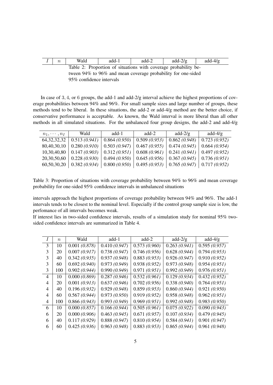| $n_{\rm}$ | Wald | add-1 | add-2 | add- $2/g$                                                      | $add-4/g$ |
|-----------|------|-------|-------|-----------------------------------------------------------------|-----------|
|           |      |       |       | Table 2: Proportion of situations with coverage probability be- |           |

tween 94% to 96% and mean coverage probability for one-sided 95% confidence intervals

In case of 3, 4, or 6 groups, the add-1 and add-2/g interval achieve the highest proportions of coverage probabilities between 94% and 96%. For small sample sizes and large number of groups, these methods tend to be liberal. In these situations, the add-2 or add-4/g method are the better choice, if conservative performance is acceptable. As known, the Wald interval is more liberal than all other methods in all simulated situations. For the unbalanced four group designs, the add-2 and add-4/g

| $n_1, \cdots, n_I$ | Wald                                                                                                    | add-1 | add-2 | add- $2/g$                   | add-4/g |
|--------------------|---------------------------------------------------------------------------------------------------------|-------|-------|------------------------------|---------|
|                    | $64,32,32,32$   0.513 (0.941)   0.864 (0.950)   0.509 (0.953)                                           |       |       | $0.862(0.948)$ 0.723 (0.952) |         |
|                    | $80,40,30,10$   $0.280$ (0.910)   $0.503$ (0.947)   $0.467$ (0.955)   $0.474$ (0.945)   $0.664$ (0.954) |       |       |                              |         |
|                    | $10,30,40,80$   0.147 (0.903)   0.312 (0.951)   0.608 (0.961)   0.241 (0.941)   0.497 (0.952)           |       |       |                              |         |
|                    | $20,30,50,60$   $0.228$ (0.930)   0.494 (0.950)   0.645 (0.956)   0.367 (0.945)   0.736 (0.951)         |       |       |                              |         |
|                    | $60,50,30,20$   $0.382$ (0.934)   $0.800$ (0.950)   $0.495$ (0.953)   $0.765$ (0.947)   $0.717$ (0.952) |       |       |                              |         |

Table 3: Proportion of situations with coverage probability between 94% to 96% and mean coverage probability for one-sided 95% confidence intervals in unbalanced situations

intervals approach the highest proportions of coverage probability between 94% and 96%. The add-1 intervals tends to be closest to the nominal level. Especially if the control group sample size is low, the perfomance of all intervals becomes weak.

If interest lies in two-sided confidence intervals, results of a simulation study for nominal 95% twosided confidence intervals are summarized in Table 4.

|   | $\boldsymbol{n}$ | Wald         | $add-1$      | $add-2$      | $add-2/g$    | $add-4/g$    |
|---|------------------|--------------|--------------|--------------|--------------|--------------|
| 3 | 10               | 0.001(0.878) | 0.410(0.947) | 0.573(0.960) | 0.263(0.941) | 0.595(0.957) |
| 3 | 20               | 0.007(0.917) | 0.738(0.947) | 0.746(0.956) | 0.628(0.944) | 0.794(0.953) |
| 3 | 40               | 0.342(0.935) | 0.937(0.948) | 0.883(0.953) | 0.926(0.947) | 0.910(0.952) |
| 3 | 60               | 0.692(0.940) | 0.973(0.949) | 0.938(0.952) | 0.973(0.948) | 0.954(0.951) |
| 3 | 100              | 0.902(0.944) | 0.990(0.949) | 0.971(0.951) | 0.992(0.949) | 0.976(0.951) |
| 4 | 10               | 0.000(0.869) | 0.287(0.946) | 0.532(0.961) | 0.129(0.934) | 0.432(0.952) |
| 4 | 20               | 0.001(0.913) | 0.637(0.946) | 0.702(0.956) | 0.338(0.940) | 0.764(0.951) |
| 4 | 40               | 0.196(0.932) | 0.929(0.948) | 0.859(0.953) | 0.860(0.944) | 0.921(0.950) |
| 4 | 60               | 0.567(0.944) | 0.973(0.950) | 0.919(0.952) | 0.958(0.948) | 0.962(0.951) |
| 4 | 100              | 0.866(0.943) | 0.993(0.949) | 0.969(0.951) | 0.992(0.948) | 0.983(0.950) |
| 6 | 10               | 0.000(0.857) | 0.166(0.944) | 0.505(0.961) | 0.075(0.922) | 0.090(0.943) |
| 6 | 20               | 0.000(0.906) | 0.463(0.945) | 0.671(0.957) | 0.107(0.934) | 0.479(0.945) |
| 6 | 40               | 0.117(0.929) | 0.888(0.947) | 0.810(0.954) | 0.584(0.941) | 0.901(0.947) |
| 6 | 60               | 0.425(0.936) | 0.963(0.948) | 0.883(0.953) | 0.865(0.944) | 0.961(0.948) |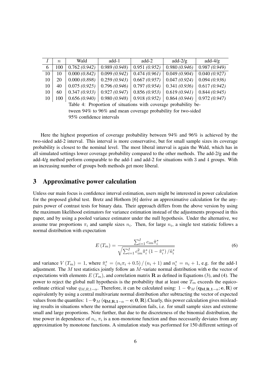|    | $\boldsymbol{n}$ | Wald         | add-1        | $add-2$      | add- $2/g$   | $add-4/g$    |
|----|------------------|--------------|--------------|--------------|--------------|--------------|
| 6  | 100              | 0.762(0.942) | 0.989(0.948) | 0.951(0.952) | 0.980(0.946) | 0.987(0.949) |
| 10 | 10               | 0.000(0.842) | 0.099(0.942) | 0.474(0.961) | 0.049(0.904) | 0.040(0.927) |
| 10 | 20               | 0.000(0.898) | 0.259(0.943) | 0.667(0.957) | 0.047(0.924) | 0.094(0.936) |
| 10 | 40               | 0.075(0.925) | 0.796(0.946) | 0.797(0.954) | 0.341(0.936) | 0.617(0.942) |
| 10 | 60               | 0.347(0.933) | 0.927(0.947) | 0.856(0.953) | 0.619(0.941) | 0.844(0.945) |
| 10 | 100              | 0.656(0.940) | 0.980(0.948) | 0.918(0.952) | 0.864(0.944) | 0.972(0.947) |

Table 4: Proportion of situations with coverage probability between 94% to 96% and mean coverage probability for two-sided 95% confidence intervals

Here the highest proportion of coverage probability between 94% and 96% is achieved by the two-sided add-2 interval. This interval is more conservative, but for small sample sizes its coverage probability is closest to the nominal level. The most liberal interval is again the Wald, which has in all simulated settings lower coverage probability compared to the other methods. The add-2/g and the add-4/g method perform comparable to the add-1 and add-2 for situations with 3 and 4 groups. With an increasing number of groups both methods get more liberal.

## 3 Approximative power calculation

Unless our main focus is confidence interval estimation, users might be interested in power calculation for the proposed global test. Bretz and Hothorn [6] derive an approximative calculation for the anypairs power of contrast tests for binary data. Their approach differs from the above version by using the maximum likelihood estimators for variance estimation instead of the adjustments proposed in this paper, and by using a pooled variance estimator under the null hypothesis. Under the alternative, we assume true proportions  $\pi_i$  and sample sizes  $n_i$ . Then, for large  $n_i$ , a single test statistic follows a normal distribution with expectation

$$
E(T_m) = \frac{\sum_{i=1}^{I} c_{im} \tilde{\pi}_i^*}{\sqrt{\sum_{i=1}^{I} c_{im}^2 \tilde{\pi}_i^* \left(1 - \tilde{\pi}_i^*\right) / \tilde{n}_i^*}}
$$
(6)

and variance  $V(T_m) = 1$ , where  $\tilde{\pi}_i^* = (n_i \pi_i + 0.5) / (n_i + 1)$  and  $n_i^* = n_i + 1$ , e.g. for the add-1 adjustment. The  $M$  test statistics jointly follow an  $M$ -variate normal distribution with  $e$  the vector of expectations with elements  $E(T_m)$ , and correlation matrix R as defined in Equations (3), and (4). The power to reject the global null hypothesis is the probability that at least one  $T_m$  exceeds the equicoordinate critical value  $q_{M,R,1-\alpha}$ . Therefore, it can be calculated using:  $1 - \Phi_M (\mathbf{q}_{M,R,1-\alpha}; \mathbf{e}, \mathbf{R})$  or equivalently by using a central multivariate normal distribution after subtracting the vector of expected values from the quantiles:  $1-\Phi_M$  ( $\mathbf{q}_{M,R,1-\alpha} - \mathbf{e}$ ; 0, R). Clearly, this power calculation gives misleading results in situations where the normal approximation fails, i.e. for small sample sizes and extreme small and large proportions. Note further, that due to the discreteness of the binomial distribution, the true power in dependence of  $n_i$ ,  $\pi_i$  is a non-monotone function and thus necessarily deviates from any approximation by monotone functions. A simulation study was performed for 150 different settings of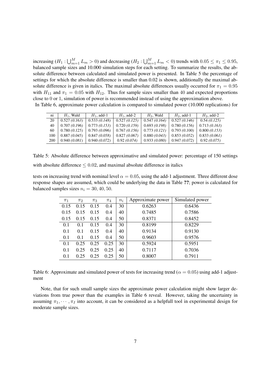increasing  $(H_1: \bigcup_{m=1}^M L_m > 0)$  and decreasing  $(H_2: \bigcup_{m=1}^M L_m < 0)$  trends with  $0.05 \leq \pi_1 \leq 0.95$ , balanced sample sizes and 10.000 simulation steps for each setting. To summarize the results, the absolute difference between calculated and simulated power is presented. In Table 5 the percentage of settings for which the absolute difference is smaller than 0.02 is shown, additionally the maximal absolute difference is given in italics. The maximal absolute differences usually occurred for  $\pi_1 = 0.95$ with  $H_{11}$  and  $\pi_1 = 0.05$  with  $H_{12}$ . Thus for sample sizes smaller than 40 and expected proportions close to 0 or 1, simulation of power is recommended instead of using the approximation above. In Table 6, approximate power calculation is compared to simulated power (10.000 replications) for

| $n_{1}$    | $H_1$ . Wald | $H_1$ , add-1 | $H_1$ , add-2 | $H_2$ . Wald | $H_2$ , add-1 | $H_2$ , add-2 |
|------------|--------------|---------------|---------------|--------------|---------------|---------------|
| 20         | 0.527(0.163) | 0.533(0.148)  | 0.527(0.125)  | 0.547(0.164) | 0.527(0.146)  | 0.54(0.125)   |
| 40         | 0.707(0.196) | 0.773(0.153)  | 0.720(0.159)  | 0.693(0.198) | 0.780(0.156)  | 0.713(0.163)  |
| 60         | 0.780(0.125) | 0.793(0.096)  | 0.767(0.156)  | 0.773(0.121) | 0.793(0.100)  | 0.800(0.153)  |
| 100        | 0.887(0.045) | 0.847(0.058)  | 0.827(0.067)  | 0.880(0.043) | 0.853(0.052)  | 0.833(0.061)  |
| <b>200</b> | 0.940(0.081) | 0.940(0.072)  | 0.92(0.074)   | 0.933(0.080) | 0.947(0.072)  | 0.92(0.075)   |

Table 5: Absolute difference between approximative and simulated power: percentage of 150 settings with absolute difference  $\leq 0.02$ , and maximal absolute difference in italics

tests on increasing trend with nominal level  $\alpha = 0.05$ , using the add-1 adjustment. Three different dose response shapes are assumed, which could be underlying the data in Table ??; power is calculated for balanced samples sizes  $n_i = 30, 40, 50$ .

| $\pi_1$ | $\pi_{2}$ | $\pi_3$ | $\pi_4$ | $n_i$ | Approximate power | Simulated power |
|---------|-----------|---------|---------|-------|-------------------|-----------------|
| 0.15    | 0.15      | 0.15    | 0.4     | 30    | 0.6263            | 0.6436          |
| 0.15    | 0.15      | 0.15    | 0.4     | 40    | 0.7485            | 0.7586          |
| 0.15    | 0.15      | 0.15    | 0.4     | 50    | 0.8371            | 0.8452          |
| 0.1     | 0.1       | 0.15    | 0.4     | 30    | 0.8199            | 0.8229          |
| 0.1     | 0.1       | 0.15    | 0.4     | 40    | 0.9134            | 0.9130          |
| 0.1     | 0.1       | 0.15    | 0.4     | 50    | 0.9603            | 0.9576          |
| 0.1     | 0.25      | 0.25    | 0.25    | 30    | 0.5924            | 0.5951          |
| 0.1     | 0.25      | 0.25    | 0.25    | 40    | 0.7117            | 0.7036          |
| 0.1     | 0.25      | 0.25    | 0.25    | 50    | 0.8007            | 0.7911          |

Table 6: Approximate and simulated power of tests for increasing trend ( $\alpha = 0.05$ ) using add-1 adjustment

Note, that for such small sample sizes the approximate power calculation might show larger deviations from true power than the examples in Table 6 reveal. However, taking the uncertainty in assuming  $\pi_1, \cdots, \pi_l$  into account, it can be considered as a helpfull tool in experimental design for moderate sample sizes.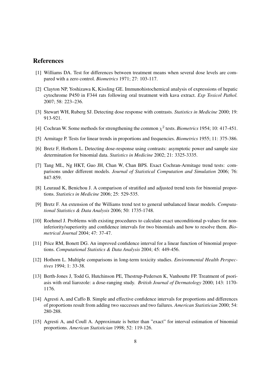# References

- [1] Williams DA. Test for differences between treatment means when several dose levels are compared with a zero control. *Biometrics* 1971; 27: 103-117.
- [2] Clayton NP, Yoshizawa K, Kissling GE. Immunohistochemical analysis of expressions of hepatic cytochrome P450 in F344 rats following oral treatment with kava extract. *Exp Toxicol Pathol.* 2007; 58: 223–236.
- [3] Stewart WH, Ruberg SJ. Detecting dose response with contrasts. *Statistics in Medicine* 2000; 19: 913-921.
- [4] Cochran W. Some methods for strengthening the common  $\chi^2$  tests. *Biometrics* 1954; 10: 417-451.
- [5] Armitage P. Tests for linear trends in proportions and frequencies. *Biometrics* 1955; 11: 375-386.
- [6] Bretz F, Hothorn L. Detecting dose-response using contrasts: asymptotic power and sample size determination for binomial data. *Statistics in Medicine* 2002; 21: 3325-3335.
- [7] Tang ML, Ng HKT, Guo JH, Chan W, Chan BPS. Exact Cochran-Armitage trend tests: comparisons under different models. *Journal of Statistical Computation and Simulation* 2006; 76: 847-859.
- [8] Leuraud K, Benichou J. A comparison of stratified and adjusted trend tests for binomial proportions. *Statistics in Medicine* 2006; 25: 529-535.
- [9] Bretz F. An extension of the Williams trend test to general unbalanced linear models. *Computational Statistics & Data Analysis* 2006; 50: 1735-1748.
- [10] Roehmel J. Problems with existing procedures to calculate exact unconditional p-values for noninferiority/superiority and confidence intervals for two binomials and how to resolve them. *Biometrical Journal* 2004; 47: 37-47.
- [11] Price RM, Bonett DG. An improved confidence interval for a linear function of binomial proportions. *Computational Statistics & Data Analysis* 2004; 45: 449-456.
- [12] Hothorn L. Multiple comparisons in long-term toxicity studies. *Environmental Health Perspectives* 1994; 1: 33-38.
- [13] Berth-Jones J, Todd G, Hutchinson PE, Thestrup-Pedersen K, Vanhoutte FP. Treatment of psoriasis with oral liarozole: a dose-ranging study. *British Journal of Dermatology* 2000; 143: 1170- 1176.
- [14] Agresti A, and Caffo B. Simple and effective confidence intervals for proportions and differences of proportions result from adding two successes and two failures. *American Statistician* 2000; 54: 280-288.
- [15] Agresti A, and Coull A. Approximate is better than "exact" for interval estimation of binomial proportions. *American Statistician* 1998; 52: 119-126.